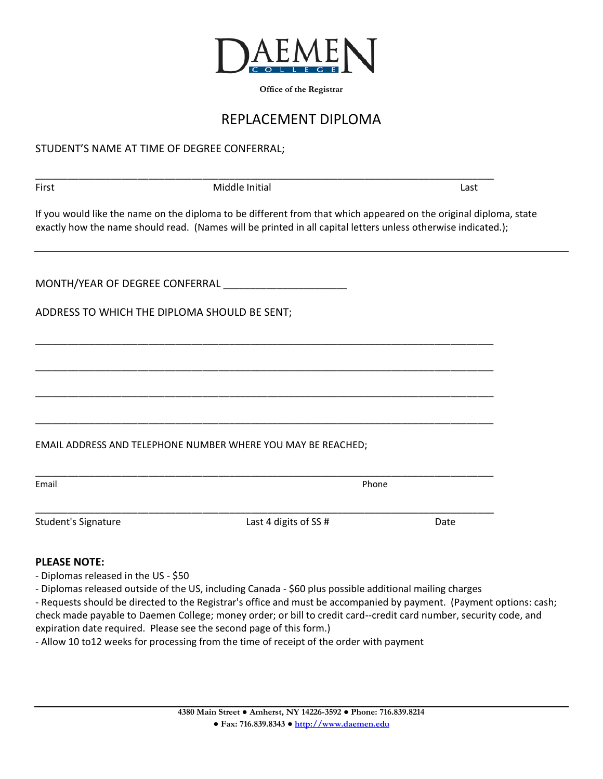

**Office of the Registrar**

## REPLACEMENT DIPLOMA

## STUDENT'S NAME AT TIME OF DEGREE CONFERRAL;

| First                                        | Middle Initial                                                                                                                                                                                                                     | Last  |  |  |
|----------------------------------------------|------------------------------------------------------------------------------------------------------------------------------------------------------------------------------------------------------------------------------------|-------|--|--|
|                                              | If you would like the name on the diploma to be different from that which appeared on the original diploma, state<br>exactly how the name should read. (Names will be printed in all capital letters unless otherwise indicated.); |       |  |  |
|                                              | MONTH/YEAR OF DEGREE CONFERRAL                                                                                                                                                                                                     |       |  |  |
| ADDRESS TO WHICH THE DIPLOMA SHOULD BE SENT; |                                                                                                                                                                                                                                    |       |  |  |
|                                              |                                                                                                                                                                                                                                    |       |  |  |
|                                              |                                                                                                                                                                                                                                    |       |  |  |
|                                              |                                                                                                                                                                                                                                    |       |  |  |
|                                              | EMAIL ADDRESS AND TELEPHONE NUMBER WHERE YOU MAY BE REACHED;                                                                                                                                                                       |       |  |  |
| Email                                        |                                                                                                                                                                                                                                    | Phone |  |  |
| <b>Student's Signature</b>                   | Last 4 digits of SS #                                                                                                                                                                                                              | Date  |  |  |
| <b>PLEASE NOTE:</b>                          |                                                                                                                                                                                                                                    |       |  |  |
| - Diplomas released in the US - \$50         |                                                                                                                                                                                                                                    |       |  |  |

- Diplomas released outside of the US, including Canada \$60 plus possible additional mailing charges
- Requests should be directed to the Registrar's office and must be accompanied by payment. (Payment options: cash; check made payable to Daemen College; money order; or bill to credit card--credit card number, security code, and expiration date required. Please see the second page of this form.)
- Allow 10 to12 weeks for processing from the time of receipt of the order with payment